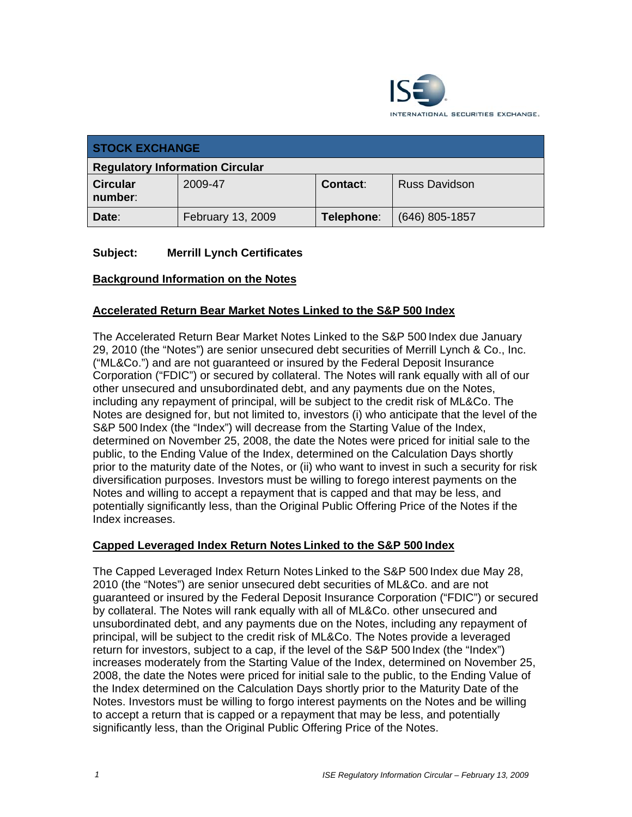

| <b>STOCK EXCHANGE</b>                  |                   |            |                      |  |
|----------------------------------------|-------------------|------------|----------------------|--|
| <b>Regulatory Information Circular</b> |                   |            |                      |  |
| <b>Circular</b><br>number:             | 2009-47           | Contact:   | <b>Russ Davidson</b> |  |
| Date:                                  | February 13, 2009 | Telephone: | $(646)$ 805-1857     |  |

## **Subject: Merrill Lynch Certificates**

#### **Background Information on the Notes**

## **Accelerated Return Bear Market Notes Linked to the S&P 500 Index**

The Accelerated Return Bear Market Notes Linked to the S&P 500 Index due January 29, 2010 (the "Notes") are senior unsecured debt securities of Merrill Lynch & Co., Inc. ("ML&Co.") and are not guaranteed or insured by the Federal Deposit Insurance Corporation ("FDIC") or secured by collateral. The Notes will rank equally with all of our other unsecured and unsubordinated debt, and any payments due on the Notes, including any repayment of principal, will be subject to the credit risk of ML&Co. The Notes are designed for, but not limited to, investors (i) who anticipate that the level of the S&P 500 Index (the "Index") will decrease from the Starting Value of the Index, determined on November 25, 2008, the date the Notes were priced for initial sale to the public, to the Ending Value of the Index, determined on the Calculation Days shortly prior to the maturity date of the Notes, or (ii) who want to invest in such a security for risk diversification purposes. Investors must be willing to forego interest payments on the Notes and willing to accept a repayment that is capped and that may be less, and potentially significantly less, than the Original Public Offering Price of the Notes if the Index increases.

#### **Capped Leveraged Index Return Notes Linked to the S&P 500 Index**

The Capped Leveraged Index Return Notes Linked to the S&P 500 Index due May 28, 2010 (the "Notes") are senior unsecured debt securities of ML&Co. and are not guaranteed or insured by the Federal Deposit Insurance Corporation ("FDIC") or secured by collateral. The Notes will rank equally with all of ML&Co. other unsecured and unsubordinated debt, and any payments due on the Notes, including any repayment of principal, will be subject to the credit risk of ML&Co. The Notes provide a leveraged return for investors, subject to a cap, if the level of the S&P 500 Index (the "Index") increases moderately from the Starting Value of the Index, determined on November 25, 2008, the date the Notes were priced for initial sale to the public, to the Ending Value of the Index determined on the Calculation Days shortly prior to the Maturity Date of the Notes. Investors must be willing to forgo interest payments on the Notes and be willing to accept a return that is capped or a repayment that may be less, and potentially significantly less, than the Original Public Offering Price of the Notes.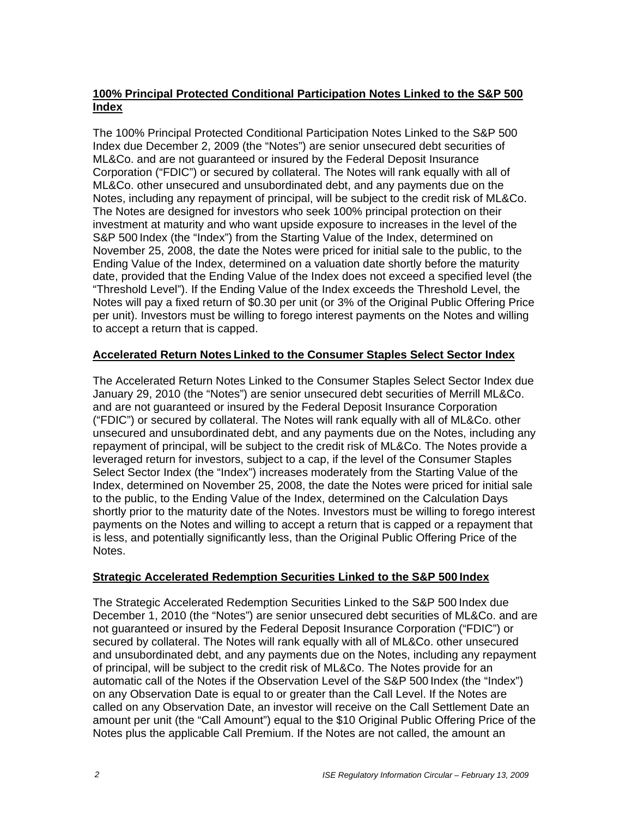#### **100% Principal Protected Conditional Participation Notes Linked to the S&P 500 Index**

The 100% Principal Protected Conditional Participation Notes Linked to the S&P 500 Index due December 2, 2009 (the "Notes") are senior unsecured debt securities of ML&Co. and are not guaranteed or insured by the Federal Deposit Insurance Corporation ("FDIC") or secured by collateral. The Notes will rank equally with all of ML&Co. other unsecured and unsubordinated debt, and any payments due on the Notes, including any repayment of principal, will be subject to the credit risk of ML&Co. The Notes are designed for investors who seek 100% principal protection on their investment at maturity and who want upside exposure to increases in the level of the S&P 500 Index (the "Index") from the Starting Value of the Index, determined on November 25, 2008, the date the Notes were priced for initial sale to the public, to the Ending Value of the Index, determined on a valuation date shortly before the maturity date, provided that the Ending Value of the Index does not exceed a specified level (the "Threshold Level"). If the Ending Value of the Index exceeds the Threshold Level, the Notes will pay a fixed return of \$0.30 per unit (or 3% of the Original Public Offering Price per unit). Investors must be willing to forego interest payments on the Notes and willing to accept a return that is capped.

## **Accelerated Return Notes Linked to the Consumer Staples Select Sector Index**

The Accelerated Return Notes Linked to the Consumer Staples Select Sector Index due January 29, 2010 (the "Notes") are senior unsecured debt securities of Merrill ML&Co. and are not guaranteed or insured by the Federal Deposit Insurance Corporation ("FDIC") or secured by collateral. The Notes will rank equally with all of ML&Co. other unsecured and unsubordinated debt, and any payments due on the Notes, including any repayment of principal, will be subject to the credit risk of ML&Co. The Notes provide a leveraged return for investors, subject to a cap, if the level of the Consumer Staples Select Sector Index (the "Index") increases moderately from the Starting Value of the Index, determined on November 25, 2008, the date the Notes were priced for initial sale to the public, to the Ending Value of the Index, determined on the Calculation Days shortly prior to the maturity date of the Notes. Investors must be willing to forego interest payments on the Notes and willing to accept a return that is capped or a repayment that is less, and potentially significantly less, than the Original Public Offering Price of the Notes.

#### **Strategic Accelerated Redemption Securities Linked to the S&P 500 Index**

The Strategic Accelerated Redemption Securities Linked to the S&P 500 Index due December 1, 2010 (the "Notes") are senior unsecured debt securities of ML&Co. and are not guaranteed or insured by the Federal Deposit Insurance Corporation ("FDIC") or secured by collateral. The Notes will rank equally with all of ML&Co. other unsecured and unsubordinated debt, and any payments due on the Notes, including any repayment of principal, will be subject to the credit risk of ML&Co. The Notes provide for an automatic call of the Notes if the Observation Level of the S&P 500 Index (the "Index") on any Observation Date is equal to or greater than the Call Level. If the Notes are called on any Observation Date, an investor will receive on the Call Settlement Date an amount per unit (the "Call Amount") equal to the \$10 Original Public Offering Price of the Notes plus the applicable Call Premium. If the Notes are not called, the amount an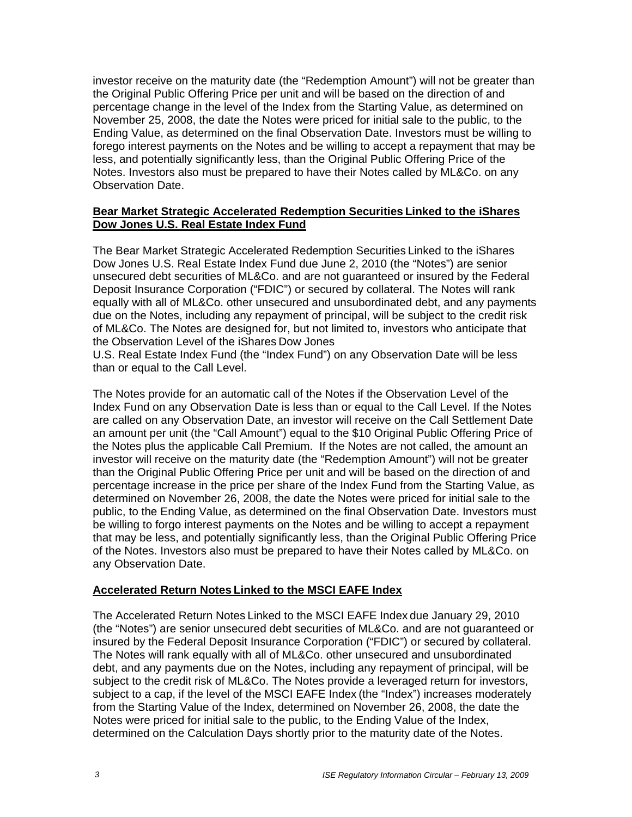investor receive on the maturity date (the "Redemption Amount") will not be greater than the Original Public Offering Price per unit and will be based on the direction of and percentage change in the level of the Index from the Starting Value, as determined on November 25, 2008, the date the Notes were priced for initial sale to the public, to the Ending Value, as determined on the final Observation Date. Investors must be willing to forego interest payments on the Notes and be willing to accept a repayment that may be less, and potentially significantly less, than the Original Public Offering Price of the Notes. Investors also must be prepared to have their Notes called by ML&Co. on any Observation Date.

#### **Bear Market Strategic Accelerated Redemption Securities Linked to the iShares Dow Jones U.S. Real Estate Index Fund**

The Bear Market Strategic Accelerated Redemption Securities Linked to the iShares Dow Jones U.S. Real Estate Index Fund due June 2, 2010 (the "Notes") are senior unsecured debt securities of ML&Co. and are not guaranteed or insured by the Federal Deposit Insurance Corporation ("FDIC") or secured by collateral. The Notes will rank equally with all of ML&Co. other unsecured and unsubordinated debt, and any payments due on the Notes, including any repayment of principal, will be subject to the credit risk of ML&Co. The Notes are designed for, but not limited to, investors who anticipate that the Observation Level of the iShares Dow Jones

U.S. Real Estate Index Fund (the "Index Fund") on any Observation Date will be less than or equal to the Call Level.

The Notes provide for an automatic call of the Notes if the Observation Level of the Index Fund on any Observation Date is less than or equal to the Call Level. If the Notes are called on any Observation Date, an investor will receive on the Call Settlement Date an amount per unit (the "Call Amount") equal to the \$10 Original Public Offering Price of the Notes plus the applicable Call Premium. If the Notes are not called, the amount an investor will receive on the maturity date (the "Redemption Amount") will not be greater than the Original Public Offering Price per unit and will be based on the direction of and percentage increase in the price per share of the Index Fund from the Starting Value, as determined on November 26, 2008, the date the Notes were priced for initial sale to the public, to the Ending Value, as determined on the final Observation Date. Investors must be willing to forgo interest payments on the Notes and be willing to accept a repayment that may be less, and potentially significantly less, than the Original Public Offering Price of the Notes. Investors also must be prepared to have their Notes called by ML&Co. on any Observation Date.

#### **Accelerated Return Notes Linked to the MSCI EAFE Index**

The Accelerated Return Notes Linked to the MSCI EAFE Index due January 29, 2010 (the "Notes") are senior unsecured debt securities of ML&Co. and are not guaranteed or insured by the Federal Deposit Insurance Corporation ("FDIC") or secured by collateral. The Notes will rank equally with all of ML&Co. other unsecured and unsubordinated debt, and any payments due on the Notes, including any repayment of principal, will be subject to the credit risk of ML&Co. The Notes provide a leveraged return for investors, subject to a cap, if the level of the MSCI EAFE Index (the "Index") increases moderately from the Starting Value of the Index, determined on November 26, 2008, the date the Notes were priced for initial sale to the public, to the Ending Value of the Index, determined on the Calculation Days shortly prior to the maturity date of the Notes.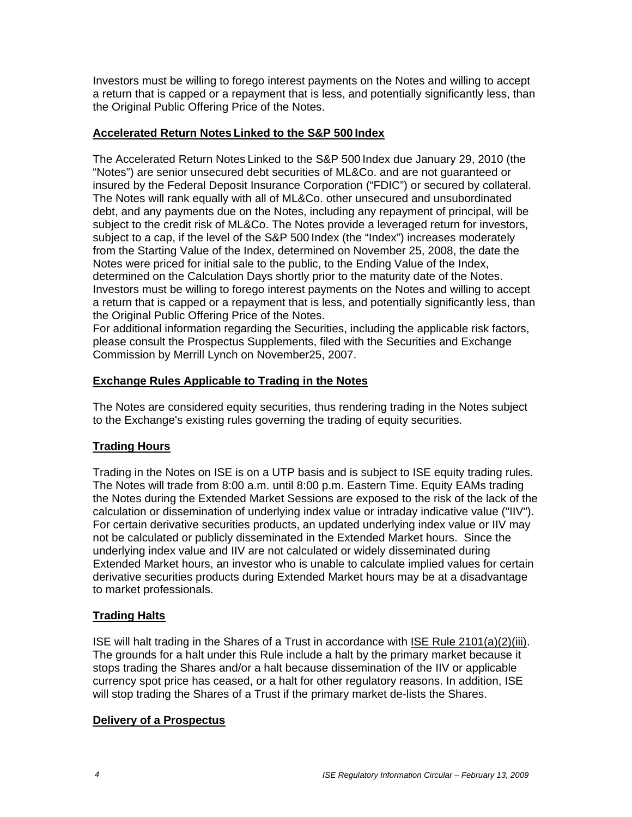Investors must be willing to forego interest payments on the Notes and willing to accept a return that is capped or a repayment that is less, and potentially significantly less, than the Original Public Offering Price of the Notes.

#### **Accelerated Return Notes Linked to the S&P 500 Index**

The Accelerated Return Notes Linked to the S&P 500 Index due January 29, 2010 (the "Notes") are senior unsecured debt securities of ML&Co. and are not guaranteed or insured by the Federal Deposit Insurance Corporation ("FDIC") or secured by collateral. The Notes will rank equally with all of ML&Co. other unsecured and unsubordinated debt, and any payments due on the Notes, including any repayment of principal, will be subject to the credit risk of ML&Co. The Notes provide a leveraged return for investors, subject to a cap, if the level of the S&P 500 Index (the "Index") increases moderately from the Starting Value of the Index, determined on November 25, 2008, the date the Notes were priced for initial sale to the public, to the Ending Value of the Index, determined on the Calculation Days shortly prior to the maturity date of the Notes. Investors must be willing to forego interest payments on the Notes and willing to accept a return that is capped or a repayment that is less, and potentially significantly less, than the Original Public Offering Price of the Notes.

For additional information regarding the Securities, including the applicable risk factors, please consult the Prospectus Supplements, filed with the Securities and Exchange Commission by Merrill Lynch on November25, 2007.

#### **Exchange Rules Applicable to Trading in the Notes**

The Notes are considered equity securities, thus rendering trading in the Notes subject to the Exchange's existing rules governing the trading of equity securities.

# **Trading Hours**

Trading in the Notes on ISE is on a UTP basis and is subject to ISE equity trading rules. The Notes will trade from 8:00 a.m. until 8:00 p.m. Eastern Time. Equity EAMs trading the Notes during the Extended Market Sessions are exposed to the risk of the lack of the calculation or dissemination of underlying index value or intraday indicative value ("IIV"). For certain derivative securities products, an updated underlying index value or IIV may not be calculated or publicly disseminated in the Extended Market hours. Since the underlying index value and IIV are not calculated or widely disseminated during Extended Market hours, an investor who is unable to calculate implied values for certain derivative securities products during Extended Market hours may be at a disadvantage to market professionals.

#### **Trading Halts**

ISE will halt trading in the Shares of a Trust in accordance with ISE Rule 2101(a)(2)(iii). The grounds for a halt under this Rule include a halt by the primary market because it stops trading the Shares and/or a halt because dissemination of the IIV or applicable currency spot price has ceased, or a halt for other regulatory reasons. In addition, ISE will stop trading the Shares of a Trust if the primary market de-lists the Shares.

#### **Delivery of a Prospectus**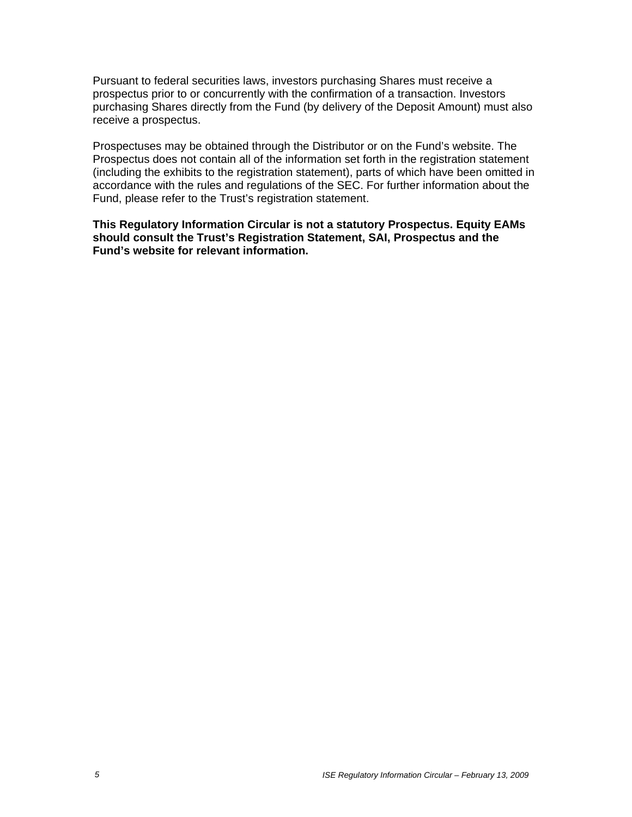Pursuant to federal securities laws, investors purchasing Shares must receive a prospectus prior to or concurrently with the confirmation of a transaction. Investors purchasing Shares directly from the Fund (by delivery of the Deposit Amount) must also receive a prospectus.

Prospectuses may be obtained through the Distributor or on the Fund's website. The Prospectus does not contain all of the information set forth in the registration statement (including the exhibits to the registration statement), parts of which have been omitted in accordance with the rules and regulations of the SEC. For further information about the Fund, please refer to the Trust's registration statement.

**This Regulatory Information Circular is not a statutory Prospectus. Equity EAMs should consult the Trust's Registration Statement, SAI, Prospectus and the Fund's website for relevant information.**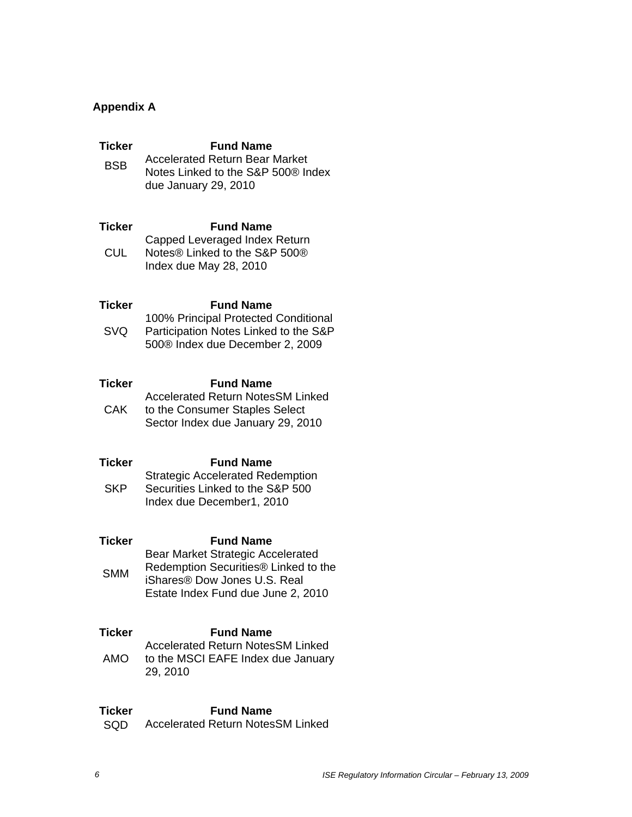# **Appendix A**

| Ticker<br><b>BSB</b>        | <b>Fund Name</b><br><b>Accelerated Return Bear Market</b><br>Notes Linked to the S&P 500® Index<br>due January 29, 2010                                                                            |
|-----------------------------|----------------------------------------------------------------------------------------------------------------------------------------------------------------------------------------------------|
| Ticker<br><b>CUL</b>        | <b>Fund Name</b><br>Capped Leveraged Index Return<br>Notes <sup>®</sup> Linked to the S&P 500 <sup>®</sup><br>Index due May 28, 2010                                                               |
| Ticker<br><b>SVQ</b>        | <b>Fund Name</b><br>100% Principal Protected Conditional<br>Participation Notes Linked to the S&P<br>500® Index due December 2, 2009                                                               |
| Ticker<br><b>CAK</b>        | <b>Fund Name</b><br><b>Accelerated Return NotesSM Linked</b><br>to the Consumer Staples Select<br>Sector Index due January 29, 2010                                                                |
| Ticker<br><b>SKP</b>        | <b>Fund Name</b><br><b>Strategic Accelerated Redemption</b><br>Securities Linked to the S&P 500<br>Index due December1, 2010                                                                       |
| <b>Ticker</b><br><b>SMM</b> | <b>Fund Name</b><br><b>Bear Market Strategic Accelerated</b><br>Redemption Securities <sup>®</sup> Linked to the<br>iShares <sup>®</sup> Dow Jones U.S. Real<br>Estate Index Fund due June 2, 2010 |
| Ticker<br>AMO               | <b>Fund Name</b><br><b>Accelerated Return NotesSM Linked</b><br>to the MSCI EAFE Index due January<br>29, 2010                                                                                     |

# **Ticker** Fund Name

SQD Accelerated Return NotesSM Linked